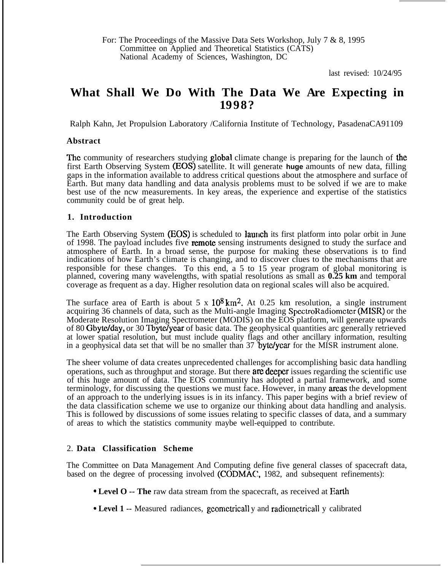For: The Proceedings of the Massive Data Sets Workshop, July 7 & 8, 1995 Committee on Applied and Theoretical Statistics (CATS) National Academy of Sciences, Washington, DC

last revised: 10/24/95

# **What Shall We Do With The Data We Are Expecting in 1998?**

Ralph Kahn, Jet Propulsion Laboratory /California Institute of Technology, PasadenaCA91109

### **Abstract**

The community of researchers studying global climate change is preparing for the launch of the first Earth Observing System (EOS) satellite. It will generate **huge** amounts of new data, filling gaps in the information available to address critical questions about the atmosphere and surface of Earth. But many data handling and data analysis problems must to be solved if we are to make best use of the ncw measurements. In key areas, the experience and expertise of the statistics community could be of great help.

## **1. Introduction**

The Earth Observing System (EOS) is scheduled to launch its first platform into polar orbit in June of 1998. The payload includes five remote sensing instruments designed to study the surface and atmosphere of Earth. In a broad sense, the purpose for making these observations is to find indications of how Earth's climate is changing, and to discover clues to the mechanisms that are responsible for these changes. To this end, a 5 to 15 year program of global monitoring is planned, covering many wavelengths, with spatial resolutions as small as **0.25 km** and temporal coverage as frequent as a day. Higher resolution data on regional scales will also be acquired.

The surface area of Earth is about 5 x  $10^8 \text{ km}^2$ . At 0.25 km resolution, a single instrument acquiring 36 channels of data, such as the Multi-angle Imaging SpcctroRadiomctcr (MISR) or the Moderate Resolution Imaging Spectrometer (MODIS) on the EOS platform, will generate upwards of 80 Gbyte/day, or 30 TbyteJyear of basic data. The geophysical quantities arc generally retrieved at lower spatial resolution, but must include quality flags and other ancillary information, resulting in a geophysical data set that will be no smaller than 37 **byte/year** for the MISR instrument alone.

The sheer volume of data creates unprecedented challenges for accomplishing basic data handling operations, such as throughput and storage. But there **are deeper** issues regarding the scientific use of this huge amount of data. The EOS community has adopted a partial framework, and some terminology, for discussing the questions we must face. However, in many areas the development of an approach to the underlying issues is in its infancy. This paper begins with a brief review of the data classification scheme we use to organize our thinking about data handling and analysis. This is followed by discussions of some issues relating to specific classes of data, and a summary of areas to which the statistics community maybe well-equipped to contribute.

## 2. **Data Classification Scheme**

The Committee on Data Management And Computing define five general classes of spacecraft data, based on the degree of processing involved (CODMAC, 1982, and subsequent refinements):

- Level O -- The raw data stream from the spacecraft, as received at Earth
- Level 1 -- Measured radiances, geometricall y and radiometricall y calibrated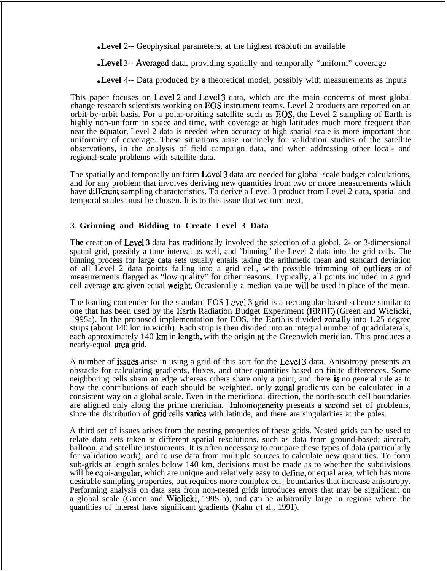• **Level** 2-- Geophysical parameters, at the highest resoluti on available

**• Level** 3-- Averaged data, providing spatially and temporally "uniform" coverage

• Level 4-- Data produced by a theoretical model, possibly with measurements as inputs

This paper focuses on Level 2 and Level 3 data, which arc the main concerns of most global change research scientists working on EOS instrument teams. Level 2 products are reported on an orbit-by-orbit basis. For a polar-orbiting satellite such as EOS, the Level 2 sampling of Earth is highly non-uniform in space and time, with coverage at high latitudes much more frequent than near the **equator.** Level 2 data is needed when accuracy at high spatial scale is more important than uniformity of coverage. These situations arise routinely for validation studies of the satellite observations, in the analysis of field campaign data, and when addressing other local- and regional-scale problems with satellite data.

The spatially and temporally uniform Level 3 data arc needed for global-scale budget calculations, and for any problem that involves deriving new quantities from two or more measurements which have different sampling characteristics. To derive a Level 3 product from Level 2 data, spatial and temporal scales must be chosen. It is to this issue that wc turn next,

# 3. **Grinning and Bidding to Create Level 3 Data**

**The** creation of Level **3** data has traditionally involved the selection of a global, 2- or 3-dimensional spatial grid, possibly a time interval as well, and "binning" the Level 2 data into the grid cells. The binning process for large data sets usually entails taking the arithmetic mean and standard deviation of all Level 2 data points falling into a grid cell, with possible trimming of outliers or of measurements flagged as "low quality" for other reasons. Typically, all points included in a grid cell average are given equal weight. Occasionally a median value will be used in place of the mean.

The leading contender for the standard EOS Level 3 grid is a rectangular-based scheme similar to one that has been used by the Earth Radiation Budget Experiment (ERBE) (Green and Wiclicki, 1995a). In the proposed implementation for EOS, the Earth is divided zonally into 1.25 degree strips (about 140 km in width). Each strip is then divided into an integral number of quadrilaterals, each approximately 140 km in length, with the origin at the Greenwich meridian. This produces a nearly-equal area grid.

A number of issues arise in using a grid of this sort for the Level 3 data. Anisotropy presents an obstacle for calculating gradients, fluxes, and other quantities based on finite differences. Some neighboring cells sham an edge whereas others share only a point, and there is no general rule as to how the contributions of each should be weighted. only zonal gradients can be calculated in a consistent way on a global scale. Even in the meridional direction, the north-south cell boundaries are aligned only along the prime meridian. Inhomogeneity presents a **second** set of problems, since the distribution of **grid** cells **varies** with latitude, and there are singularities at the poles.

A third set of issues arises from the nesting properties of these grids. Nested grids can be used to relate data sets taken at different spatial resolutions, such as data from ground-based; aircraft, balloon, and satellite instruments. It is often necessary to compare these types of data (particularly for validation work), and to use data from multiple sources to calculate new quantities. To form sub-grids at length scales below 140 km, decisions must be made as to whether the subdivisions will be equi-angular, which are unique and relatively easy to define, or equal area, which has more desirable sampling properties, but requires more complex ccl] boundaries that increase anisotropy. Performing analysis on data sets from non-nested grids introduces errors that may be significant on a global scale (Green and Wiclicki, 1995 b), and call be arbitrarily large in regions where the quantities of interest have significant gradients (Kahn ct al., 1991).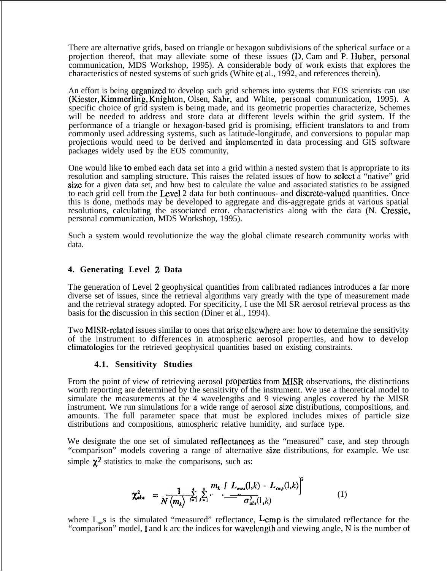There are alternative grids, based on triangle or hexagon subdivisions of the spherical surface or a projection thereof, that may alleviate some of these issues (1), Cam and P. Huber, personal communication, MDS Workshop, 1995). A considerable body of work exists that explores the characteristics of nested systems of such grids (White ct al., 1992, and references therein).

An effort is being **organized** to develop such grid schemes into systems that EOS scientists can use (Kicstcr, Kimmcrling, Knighton, Olsen, Sahr, and White, personal communication, 1995). A specific choice of grid system is being made, and its geometric properties characterize, Schemes will be needed to address and store data at different levels within the grid system. If the performance of a triangle or hexagon-based grid is promising, efficient translators to and from commonly used addressing systems, such as latitude-longitude, and conversions to popular map projections would need to be derived and implemented in data processing and GIS software packages widely used by the EOS community,

One would like to embed each data set into a grid within a nested system that is appropriate to its resolution and sampling structure. This raises the related issues of how to seleet a "native" grid size for a given data set, and how best to calculate the value and associated statistics to be assigned to each grid cell from the Level 2 data for both continuous- and discrete-valued quantities. Once this is done, methods may be developed to aggregate and dis-aggregate grids at various spatial resolutions, calculating the associated error. characteristics along with the data (N. Cressie, personal communication, MDS Workshop, 1995).

Such a system would revolutionize the way the global climate research community works with data.

### **4. Generating Level 2 Data**

The generation of Level 2 geophysical quantities from calibrated radiances introduces a far more diverse set of issues, since the retrieval algorithms vary greatly with the type of measurement made and the retrieval strategy adopted. For specificity, I use the Ml SR aerosol retrieval process as the basis for the discussion in this section (Diner et al., 1994).

Two MISR-related issues similar to ones that arise elsewhere are: how to determine the sensitivity of the instrument to differences in atmospheric aerosol properties, and how to develop climatologies for the retrieved geophysical quantities based on existing constraints.

#### **4.1. Sensitivity Studies**

From the point of view of retrieving aerosol properties from MISR observations, the distinctions worth reporting are determined by the sensitivity of the instrument. We use a theoretical model to simulate the measurements at the 4 wavelengths and 9 viewing angles covered by the MISR instrument. We run simulations for a wide range of aerosol size distributions, compositions, and amounts. The full parameter space that must be explored includes mixes of particle size distributions and compositions, atmospheric relative humidity, and surface type.

We designate the one set of simulated reflectances as the "measured" case, and step through "comparison" models covering a range of alternative size distributions, for example. We usc simple  $\chi^2$  statistics to make the comparisons, such as:

$$
\chi_{\text{abs}}^2 = \frac{1}{N \langle m_k \rangle} \sum_{i=1}^4 \sum_{k=1}^9 \cdots \sum_{i=1}^{m_k} \left[ L_{mes}(l,k) - L_{\text{cusp}}(l,k) \right]^2 \tag{1}
$$

where  $L_{\text{mc}}s$  is the simulated "measured" reflectance,  $L_{\text{cmp}}$  is the simulated reflectance for the "comparison" model, I and k arc the indices for wavelength and viewing angle, N is the number of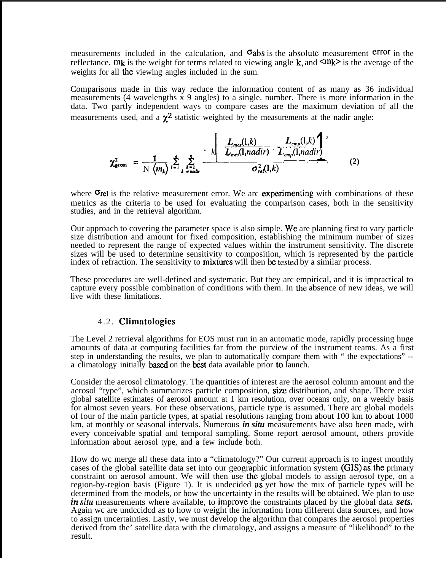measurements included in the calculation, and  $\sigma$ abs is the absolute measurement error in the reflectance.  $m_k$  is the weight for terms related to viewing angle k, and  $\langle m_k \rangle$  is the average of the weights for all the viewing angles included in the sum.

Comparisons made in this way reduce the information content of as many as 36 individual measurements (4 wavelengths  $\dot{x}$  9 angles) to a single. number. There is more information in the data. Two partly independent ways to compare cases are the maximum deviation of all the measurements used, and a  $\chi^2$  statistic weighted by the measurements at the nadir angle:

$$
\chi_{\text{geom}}^2 = \frac{1}{N \left\langle m_k \right\rangle} \sum_{i=1}^4 \sum_{k \text{ and } i}^{k} \frac{L_{mes}(1,k)}{L_{mes}(1, nadir)} \frac{L_{cmp}(1,k)}{L_{cmp}(1,nadir)} \tag{2}
$$

where  $\sigma_{rel}$  is the relative measurement error. We arc experimenting with combinations of these metrics as the criteria to be used for evaluating the comparison cases, both in the sensitivity studies, and in the retrieval algorithm.

Our approach to covering the parameter space is also simple. We are planning first to vary particle size distribution and amount for fixed composition, establishing the minimum number of sizes needed to represent the range of expected values within the instrument sensitivity. The discrete sizes will be used to determine sensitivity to composition, which is represented by the particle index of refraction. The sensitivity to mixtures will then be tested by a similar process.

These procedures are well-defined and systematic. But they arc empirical, and it is impractical to capture every possible combination of conditions with them. In the absence of new ideas, we will live with these limitations.

# 4.2. **Climatologies**

The Level 2 retrieval algorithms for EOS must run in an automatic mode, rapidly processing huge amounts of data at computing facilities far from the purview of the instrument teams. As a first step in understanding the results, we plan to automatically compare them with " the expectations" - a climatology initially based on the best data available prior to launch.

Consider the aerosol climatology. The quantities of interest are the aerosol column amount and the aerosol "type", which summarizes particle composition, size distribution, and shape. There exist global satellite estimates of aerosol amount at 1 km resolution, over oceans only, on a weekly basis for almost seven years. For these observations, particle type is assumed. There arc global models of four of the main particle types, at spatial resolutions ranging from about 100 km to about 1000 km, at monthly or seasonal intervals. Numerous *in situ* measurements have also been made, with every conceivable spatial and temporal sampling. Some report aerosol amount, others provide information about aerosol type, and a few include both.

How do wc merge all these data into a "climatology?" Our current approach is to ingest monthly cases of the global satellite data set into our geographic information system (GIS) as the primary constraint on aerosol amount. We will then use the global models to assign aerosol type, on a region-by-region basis (Figure 1). It is undecided as yet how the mix of particle types will be determined from the models, or how the uncertainty in the results will be obtained. We plan to use *in situ* measurements where available, to *improve* the constraints placed by the global data *sets*. Again wc are undccidcd as to how to weight the information from different data sources, and how to assign uncertainties. Lastly, we must develop the algorithm that compares the aerosol properties derived from the' satellite data with the climatology, and assigns a measure of "likelihood" to the result.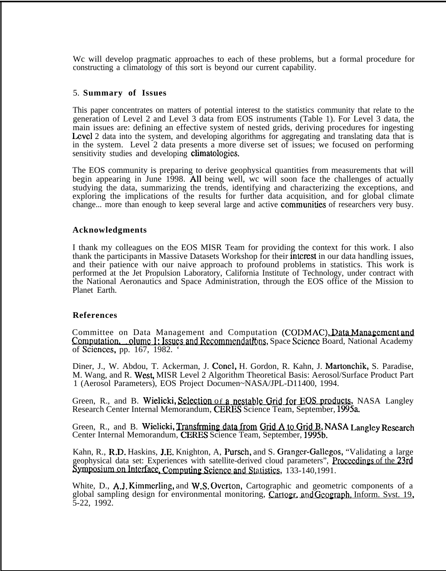Wc will develop pragmatic approaches to each of these problems, but a formal procedure for constructing a climatology of this sort is beyond our current capability.

#### 5. **Summary of Issues**

This paper concentrates on matters of potential interest to the statistics community that relate to the generation of Level 2 and Level 3 data from EOS instruments (Table 1). For Level 3 data, the main issues are: defining an effective system of nested grids, deriving procedures for ingesting Level 2 data into the system, and developing algorithms for aggregating and translating data that is in the system. Level 2 data presents a more diverse set of issues; we focused on performing sensitivity studies and developing **climatologies**.

The EOS community is preparing to derive geophysical quantities from measurements that will begin appearing in June 1998. All being well, wc will soon face the challenges of actually studying the data, summarizing the trends, identifying and characterizing the exceptions, and exploring the implications of the results for further data acquisition, and for global climate change... more than enough to keep several large and active communities of researchers very busy.

#### **Acknowledgments**

I thank my colleagues on the EOS MISR Team for providing the context for this work. I also thank the participants in Massive Datasets Workshop for their interest in our data handling issues, and their patience with our naive approach to profound problems in statistics. This work is performed at the Jet Propulsion Laboratory, California Institute of Technology, under contract with the National Aeronautics and Space Administration, through the EOS office of the Mission to Planet Earth.

#### **References**

Committee on Data Management and Computation (CODMAC), Data Management and **Computation. ... olume 1: Issues and Recommendations**, Space Science Board, National Academy of Scicnccs, pp. 167, 1982. '

Diner, J., W. Abdou, T. Ackerman, J. Conel, H. Gordon, R. Kahn, J. Martonchik, S. Paradise, M. Wang, and R. West, MISR Level 2 Algorithm Theoretical Basis: Aerosol/Surface Product Part 1 (Aerosol Parameters), EOS Project Documen~NASA/JPL-D11400, 1994. or Sciences, pp. 167, 1982.<br>
Diner, J., W. Abdou, T. Ackerman, J. Conel, H. Gordon, R. Kahn, J. Martonchik, S. Paradise,<br>
M. Wang, and R. West, MISR Level 2 Algorithm Theoretical Basis: Aerosol/Surface Product Part<br>
1 (Aer

Green, R., and B. Wielicki, Selection of a nestable Grid for EOS products, NASA Langley Research Center Internal Memorandum, CERE5 Science Team, September, 1995a

Center Internal Memorandum, CERES Science Team, September, 1995b.

Kahn, R., R.D. Haskins, J.E. Knighton, A. Pursch, and S. Granger-Gallegos, "Validating a large geophysical data set: Experiences with satellite-derived cloud parameters", Symposium on Interface, Computing Science and Statistics, 133-140,1991. Memorandum, CERES Science Team, September, 1995a.<br>
icki, Transfrming data from Grid A to Grid B, NASA Langley Research<br>
dum, CERES Science Team, September, 1995b.<br>
J.E. Knighton, A, Pursch, and S. Granger-Gallegos, "Valida

White, D., A.J. Kimmerling, and W.S. Overton, Cartographic and geometric components of a global sampling design for environmental monitoring,  $Cartogr$ , and Geograph, Inform. Svst. 19, 5-22, 1992.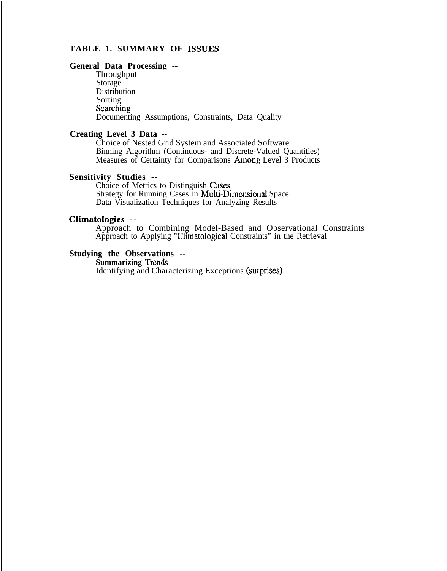# **TABLE 1. SUMMARY OF ISSUES**

#### **General Data Processing --**

Throughput Storage **Distribution** Sorting **Searching** Documenting Assumptions, Constraints, Data Quality

### **Creating Level 3 Data --**

Choice of Nested Grid System and Associated Software Binning Algorithm (Continuous- and Discrete-Valued Quantities) Measures of Certainty for Comparisons Among Level 3 Products

# **Sensitivity Studies --**

Choice of Metrics to Distinguish Cases Strategy for Running Cases in Multi-Dimensional Space Data Visualization Techniques for Analyzing Results

# **Climatologies --**

Approach to Combining Model-Based and Observational Constraints Approach to Applying "ClirnatoIogical Constraints" in the Retrieval

# **Studying the Observations --**

**Summarizing Trends** Identifying and Characterizing Exceptions (swprises)